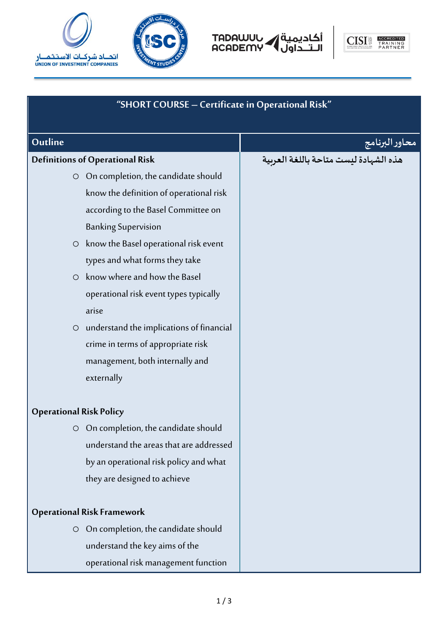



أكاديمية<br>الــتــداول ACADEMY



| "SHORT COURSE - Certificate in Operational Risk" |                                          |                |  |
|--------------------------------------------------|------------------------------------------|----------------|--|
| Outline                                          |                                          | محاور البرنامج |  |
|                                                  | <b>Definitions of Operational Risk</b>   |                |  |
|                                                  | O On completion, the candidate should    |                |  |
|                                                  | know the definition of operational risk  |                |  |
|                                                  | according to the Basel Committee on      |                |  |
|                                                  | <b>Banking Supervision</b>               |                |  |
| $\circ$                                          | know the Basel operational risk event    |                |  |
|                                                  | types and what forms they take           |                |  |
| $\circ$                                          | know where and how the Basel             |                |  |
|                                                  | operational risk event types typically   |                |  |
|                                                  | arise                                    |                |  |
| $\bigcirc$                                       | understand the implications of financial |                |  |
|                                                  | crime in terms of appropriate risk       |                |  |
|                                                  | management, both internally and          |                |  |
|                                                  | externally                               |                |  |
| <b>Operational Risk Policy</b>                   |                                          |                |  |
| $\circ$                                          | On completion, the candidate should      |                |  |
|                                                  | understand the areas that are addressed  |                |  |
|                                                  | by an operational risk policy and what   |                |  |
|                                                  | they are designed to achieve             |                |  |
| <b>Operational Risk Framework</b>                |                                          |                |  |
| $\circ$                                          | On completion, the candidate should      |                |  |
|                                                  | understand the key aims of the           |                |  |
|                                                  | operational risk management function     |                |  |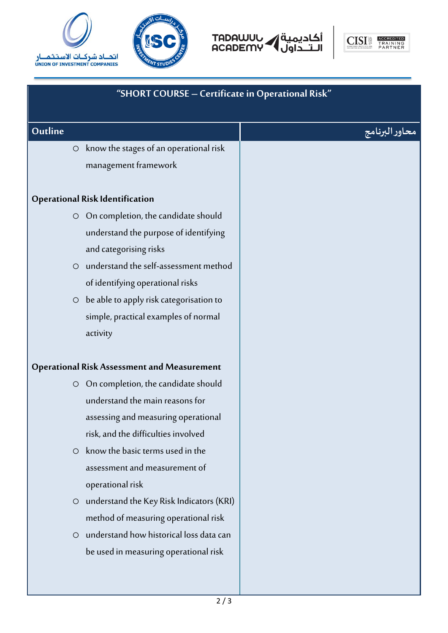







| "SHORT COURSE - Certificate in Operational Risk"   |                                                                                                                                                                                                                                                                                                                                                                                                                         |                |  |
|----------------------------------------------------|-------------------------------------------------------------------------------------------------------------------------------------------------------------------------------------------------------------------------------------------------------------------------------------------------------------------------------------------------------------------------------------------------------------------------|----------------|--|
| Outline                                            |                                                                                                                                                                                                                                                                                                                                                                                                                         | محاور البرنامج |  |
|                                                    | O know the stages of an operational risk<br>management framework                                                                                                                                                                                                                                                                                                                                                        |                |  |
| <b>Operational Risk Identification</b>             |                                                                                                                                                                                                                                                                                                                                                                                                                         |                |  |
|                                                    | O On completion, the candidate should<br>understand the purpose of identifying<br>and categorising risks<br>O understand the self-assessment method<br>of identifying operational risks<br>$\circ$ be able to apply risk categorisation to<br>simple, practical examples of normal<br>activity                                                                                                                          |                |  |
| <b>Operational Risk Assessment and Measurement</b> |                                                                                                                                                                                                                                                                                                                                                                                                                         |                |  |
| $\circ$<br>$\circ$<br>$\circ$                      | O On completion, the candidate should<br>understand the main reasons for<br>assessing and measuring operational<br>risk, and the difficulties involved<br>know the basic terms used in the<br>assessment and measurement of<br>operational risk<br>understand the Key Risk Indicators (KRI)<br>method of measuring operational risk<br>understand how historical loss data can<br>be used in measuring operational risk |                |  |